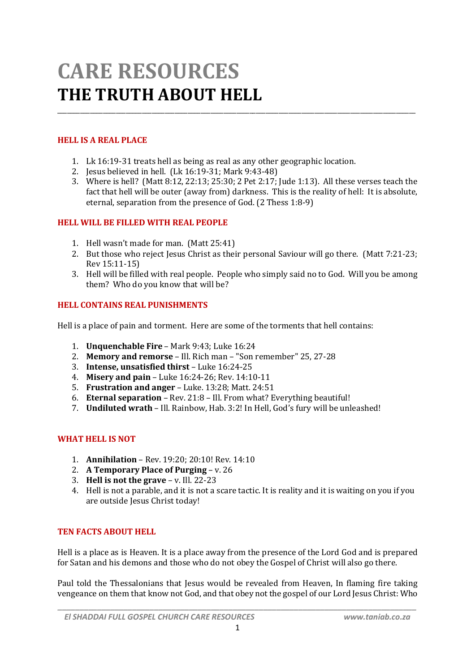# **CARE RESOURCES THE TRUTH ABOUT HELL**

# **HELL IS A REAL PLACE**

- 1. Lk 16:19-31 treats hell as being as real as any other geographic location.
- 2. Jesus believed in hell. (Lk 16:19-31; Mark 9:43-48)
- 3. Where is hell? (Matt 8:12, 22:13; 25:30; 2 Pet 2:17; Jude 1:13). All these verses teach the fact that hell will be outer (away from) darkness. This is the reality of hell: It is absolute, eternal, separation from the presence of God. (2 Thess 1:8-9)

\_\_\_\_\_\_\_\_\_\_\_\_\_\_\_\_\_\_\_\_\_\_\_\_\_\_\_\_\_\_\_\_\_\_\_\_\_\_\_\_\_\_\_\_\_\_\_\_\_\_\_\_\_\_\_\_\_\_\_\_\_\_\_\_\_\_\_\_\_\_\_\_\_\_\_\_\_\_\_\_\_\_\_\_\_\_\_\_\_\_\_\_\_\_\_\_\_\_\_\_\_\_\_\_\_\_\_\_\_\_

#### **HELL WILL BE FILLED WITH REAL PEOPLE**

- 1. Hell wasn't made for man. (Matt 25:41)
- 2. But those who reject Jesus Christ as their personal Saviour will go there. (Matt 7:21-23; Rev 15:11-15)
- 3. Hell will be filled with real people. People who simply said no to God. Will you be among them? Who do you know that will be?

#### **HELL CONTAINS REAL PUNISHMENTS**

Hell is a place of pain and torment. Here are some of the torments that hell contains:

- 1. **Unquenchable Fire** Mark 9:43; Luke 16:24
- 2. **Memory and remorse** Ill. Rich man "Son remember" 25, 27-28
- 3. **Intense, unsatisfied thirst** Luke 16:24-25
- 4. **Misery and pain** Luke 16:24-26; Rev. 14:10-11
- 5. **Frustration and anger** Luke. 13:28; Matt. 24:51
- 6. **Eternal separation** Rev. 21:8 Ill. From what? Everything beautiful!
- 7. **Undiluted wrath** Ill. Rainbow, Hab. 3:2! In Hell, God's fury will be unleashed!

## **WHAT HELL IS NOT**

- 1. **Annihilation** Rev. 19:20; 20:10! Rev. 14:10
- 2. **A Temporary Place of Purging** v. 26
- 3. **Hell is not the grave** v. Ill. 22-23
- 4. Hell is not a parable, and it is not a scare tactic. It is reality and it is waiting on you if you are outside Jesus Christ today!

## **TEN FACTS ABOUT HELL**

Hell is a place as is Heaven. It is a place away from the presence of the Lord God and is prepared for Satan and his demons and those who do not obey the Gospel of Christ will also go there.

Paul told the Thessalonians that Jesus would be revealed from Heaven. In flaming fire taking vengeance on them that know not God, and that obey not the gospel of our Lord Jesus Christ: Who

*\_\_\_\_\_\_\_\_\_\_\_\_\_\_\_\_\_\_\_\_\_\_\_\_\_\_\_\_\_\_\_\_\_\_\_\_\_\_\_\_\_\_\_\_\_\_\_\_\_\_\_\_\_\_\_\_\_\_\_\_\_\_\_\_\_\_\_\_\_\_\_\_\_\_\_\_\_\_\_\_\_\_*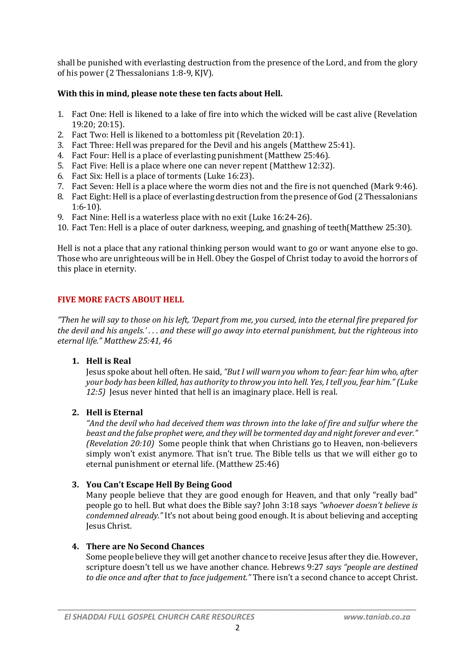shall be punished with everlasting destruction from the presence of the Lord, and from the glory of his power (2 Thessalonians 1:8-9, KJV).

## **With this in mind, please note these ten facts about Hell.**

- 1. Fact One: Hell is likened to a lake of fire into which the wicked will be cast alive (Revelation 19:20; 20:15).
- 2. Fact Two: Hell is likened to a bottomless pit (Revelation 20:1).
- 3. Fact Three: Hell was prepared for the Devil and his angels (Matthew 25:41).
- 4. Fact Four: Hell is a place of everlasting punishment (Matthew 25:46).
- 5. Fact Five: Hell is a place where one can never repent (Matthew 12:32).
- 6. Fact Six: Hell is a place of torments (Luke 16:23).
- 7. Fact Seven: Hell is a place where the worm dies not and the fire is not quenched (Mark 9:46).
- 8. Fact Eight: Hell is a place of everlasting destruction from the presence of God (2 Thessalonians 1:6-10).
- 9. Fact Nine: Hell is a waterless place with no exit (Luke 16:24-26).
- 10. Fact Ten: Hell is a place of outer darkness, weeping, and gnashing of teeth(Matthew 25:30).

Hell is not a place that any rational thinking person would want to go or want anyone else to go. Those who are unrighteous will be in Hell. Obey the Gospel of Christ today to avoid the horrors of this place in eternity.

## **FIVE MORE FACTS ABOUT HELL**

*"Then he will say to those on his left, 'Depart from me, you cursed, into the eternal fire prepared for the devil and his angels.' . . . and these will go away into eternal punishment, but the righteous into eternal life." Matthew 25:41, 46*

## **1. Hell is Real**

Jesus spoke about hell often. He said, *"But I will warn you whom to fear: fear him who, after your body has been killed, has authority to throw you into hell. Yes, I tell you, fear him." (Luke 12:5)* Jesus never hinted that hell is an imaginary place. Hell is real.

## **2. Hell is Eternal**

*"And the devil who had deceived them was thrown into the lake of fire and sulfur where the beast and the false prophet were, and they will be tormented day and night forever and ever." (Revelation 20:10)* Some people think that when Christians go to Heaven, non-believers simply won't exist anymore. That isn't true. The Bible tells us that we will either go to eternal punishment or eternal life. (Matthew 25:46)

## **3. You Can't Escape Hell By Being Good**

Many people believe that they are good enough for Heaven, and that only "really bad" people go to hell. But what does the Bible say? John 3:18 says *"whoever doesn't believe is condemned already."* It's not about being good enough. It is about believing and accepting Jesus Christ.

## **4. There are No Second Chances**

Some people believe they will get another chance to receive Jesus after they die. However, scripture doesn't tell us we have another chance. Hebrews 9:27 *says "people are destined to die once and after that to face judgement."* There isn't a second chance to accept Christ.